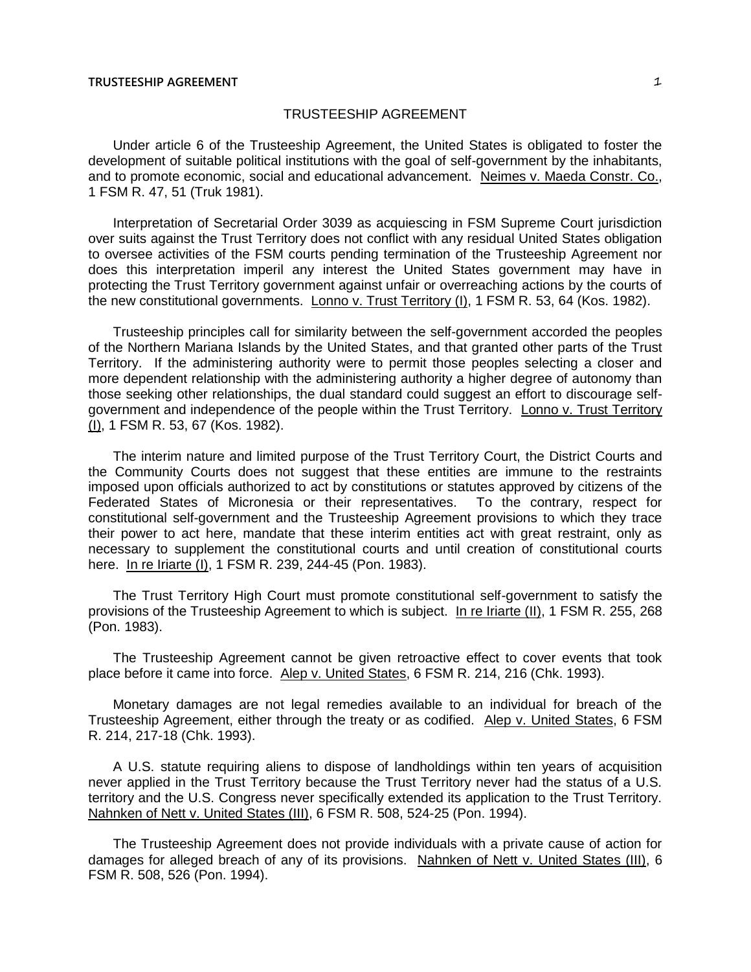## TRUSTEESHIP AGREEMENT

Under article 6 of the Trusteeship Agreement, the United States is obligated to foster the development of suitable political institutions with the goal of self-government by the inhabitants, and to promote economic, social and educational advancement. Neimes v. Maeda Constr. Co., 1 FSM R. 47, 51 (Truk 1981).

Interpretation of Secretarial Order 3039 as acquiescing in FSM Supreme Court jurisdiction over suits against the Trust Territory does not conflict with any residual United States obligation to oversee activities of the FSM courts pending termination of the Trusteeship Agreement nor does this interpretation imperil any interest the United States government may have in protecting the Trust Territory government against unfair or overreaching actions by the courts of the new constitutional governments. Lonno v. Trust Territory (I), 1 FSM R. 53, 64 (Kos. 1982).

Trusteeship principles call for similarity between the self-government accorded the peoples of the Northern Mariana Islands by the United States, and that granted other parts of the Trust Territory. If the administering authority were to permit those peoples selecting a closer and more dependent relationship with the administering authority a higher degree of autonomy than those seeking other relationships, the dual standard could suggest an effort to discourage selfgovernment and independence of the people within the Trust Territory. Lonno v. Trust Territory (I), 1 FSM R. 53, 67 (Kos. 1982).

The interim nature and limited purpose of the Trust Territory Court, the District Courts and the Community Courts does not suggest that these entities are immune to the restraints imposed upon officials authorized to act by constitutions or statutes approved by citizens of the Federated States of Micronesia or their representatives. To the contrary, respect for constitutional self-government and the Trusteeship Agreement provisions to which they trace their power to act here, mandate that these interim entities act with great restraint, only as necessary to supplement the constitutional courts and until creation of constitutional courts here. In re Iriarte (I), 1 FSM R. 239, 244-45 (Pon. 1983).

The Trust Territory High Court must promote constitutional self-government to satisfy the provisions of the Trusteeship Agreement to which is subject. In re Iriarte (II), 1 FSM R. 255, 268 (Pon. 1983).

The Trusteeship Agreement cannot be given retroactive effect to cover events that took place before it came into force. Alep v. United States, 6 FSM R. 214, 216 (Chk. 1993).

Monetary damages are not legal remedies available to an individual for breach of the Trusteeship Agreement, either through the treaty or as codified. Alep v. United States, 6 FSM R. 214, 217-18 (Chk. 1993).

A U.S. statute requiring aliens to dispose of landholdings within ten years of acquisition never applied in the Trust Territory because the Trust Territory never had the status of a U.S. territory and the U.S. Congress never specifically extended its application to the Trust Territory. Nahnken of Nett v. United States (III), 6 FSM R. 508, 524-25 (Pon. 1994).

The Trusteeship Agreement does not provide individuals with a private cause of action for damages for alleged breach of any of its provisions. Nahnken of Nett v. United States (III), 6 FSM R. 508, 526 (Pon. 1994).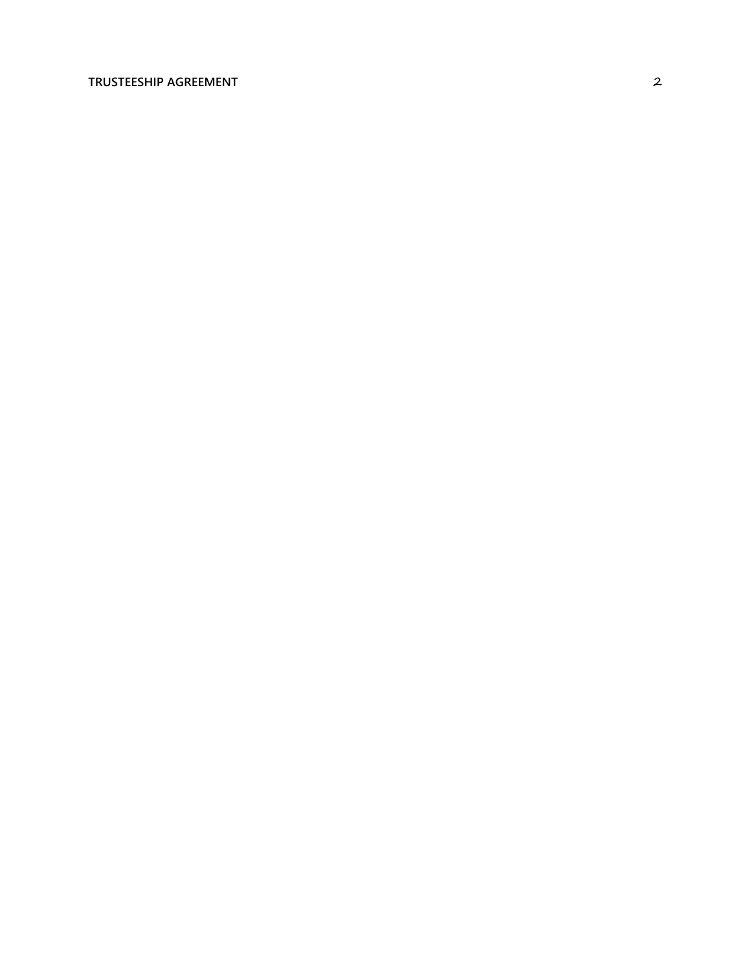## **TRUSTEESHIP AGREEMENT** 2